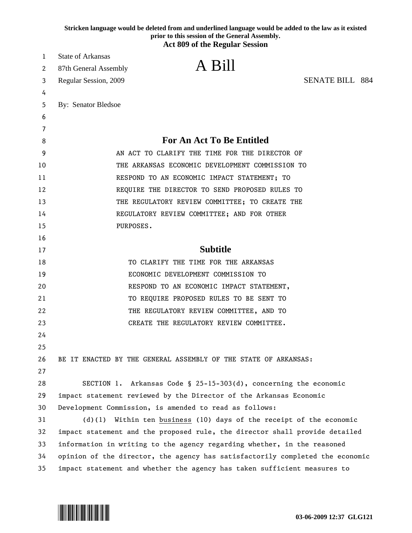|        | Stricken language would be deleted from and underlined language would be added to the law as it existed<br>prior to this session of the General Assembly. |  |
|--------|-----------------------------------------------------------------------------------------------------------------------------------------------------------|--|
|        | <b>Act 809 of the Regular Session</b>                                                                                                                     |  |
| 1      | <b>State of Arkansas</b>                                                                                                                                  |  |
| 2      | A Bill<br>87th General Assembly                                                                                                                           |  |
| 3      | <b>SENATE BILL 884</b><br>Regular Session, 2009                                                                                                           |  |
| 4      |                                                                                                                                                           |  |
| 5      | By: Senator Bledsoe                                                                                                                                       |  |
| 6      |                                                                                                                                                           |  |
| 7<br>8 | <b>For An Act To Be Entitled</b>                                                                                                                          |  |
| 9      | AN ACT TO CLARIFY THE TIME FOR THE DIRECTOR OF                                                                                                            |  |
| 10     | THE ARKANSAS ECONOMIC DEVELOPMENT COMMISSION TO                                                                                                           |  |
| 11     | RESPOND TO AN ECONOMIC IMPACT STATEMENT; TO                                                                                                               |  |
| 12     | REQUIRE THE DIRECTOR TO SEND PROPOSED RULES TO                                                                                                            |  |
| 13     | THE REGULATORY REVIEW COMMITTEE; TO CREATE THE                                                                                                            |  |
| 14     | REGULATORY REVIEW COMMITTEE; AND FOR OTHER                                                                                                                |  |
| 15     | PURPOSES.                                                                                                                                                 |  |
| 16     |                                                                                                                                                           |  |
| 17     | <b>Subtitle</b>                                                                                                                                           |  |
| 18     | TO CLARIFY THE TIME FOR THE ARKANSAS                                                                                                                      |  |
| 19     | ECONOMIC DEVELOPMENT COMMISSION TO                                                                                                                        |  |
| 20     | RESPOND TO AN ECONOMIC IMPACT STATEMENT,                                                                                                                  |  |
| 21     | TO REQUIRE PROPOSED RULES TO BE SENT TO                                                                                                                   |  |
| 22     | THE REGULATORY REVIEW COMMITTEE, AND TO                                                                                                                   |  |
| 23     | CREATE THE REGULATORY REVIEW COMMITTEE.                                                                                                                   |  |
| 24     |                                                                                                                                                           |  |
| 25     |                                                                                                                                                           |  |
| 26     | BE IT ENACTED BY THE GENERAL ASSEMBLY OF THE STATE OF ARKANSAS:                                                                                           |  |
| 27     |                                                                                                                                                           |  |
| 28     | SECTION 1. Arkansas Code § 25-15-303(d), concerning the economic                                                                                          |  |
| 29     | impact statement reviewed by the Director of the Arkansas Economic                                                                                        |  |
| 30     | Development Commission, is amended to read as follows:                                                                                                    |  |
| 31     | Within ten business (10) days of the receipt of the economic<br>$(d)$ (1)                                                                                 |  |
| 32     | impact statement and the proposed rule, the director shall provide detailed                                                                               |  |
| 33     | information in writing to the agency regarding whether, in the reasoned                                                                                   |  |
| 34     | opinion of the director, the agency has satisfactorily completed the economic                                                                             |  |
| 35     | impact statement and whether the agency has taken sufficient measures to                                                                                  |  |